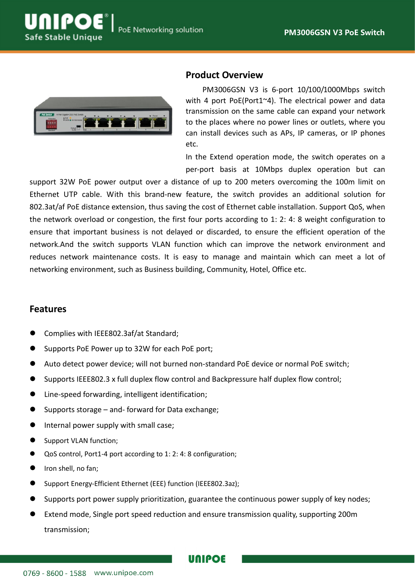



## **Product Overview**

PM3006GSN V3 is 6-port 10/100/1000Mbps switch with 4 port PoE(Port1~4). The electrical power and data transmission on the same cable can expand your network to the places where no power lines or outlets, where you can install devices such as APs, IP cameras, or IP phones etc.

In the Extend operation mode, the switch operates on a per-port basis at 10Mbps duplex operation but can

support 32W PoE power output over a distance of up to 200 meters overcoming the 100m limit on Ethernet UTP cable. With this brand-new feature, the switch provides an additional solution for 802.3at/af PoE distance extension, thus saving the cost of Ethernet cable installation. Support QoS, when the network overload or congestion, the first four ports according to 1: 2: 4: 8 weight configuration to ensure that important business is not delayed or discarded, to ensure the efficient operation of the network.And the switch supports VLAN function which can improve the network environment and reduces network maintenance costs. It is easy to manage and maintain which can meet a lot of networking environment, such as Business building, Community, Hotel, Office etc.

### **Features**

- Complies with IEEE802.3af/at Standard;
- Supports PoE Power up to 32W for each PoE port;
- Auto detect power device; will not burned non-standard PoE device or normal PoE switch;
- Supports IEEE802.3 x full duplex flow control and Backpressure half duplex flow control;
- Line-speed forwarding, intelligent identification;
- Supports storage and- forward for Data exchange;
- **•** Internal power supply with small case;
- Support VLAN function;
- QoS control, Port1-4 port according to 1: 2: 4: 8 configuration;
- Iron shell, no fan;
- Support Energy-Efficient Ethernet (EEE) function (IEEE802.3az);
- Supports port power supply prioritization, guarantee the continuous power supply of key nodes;
- Extend mode, Single port speed reduction and ensure transmission quality, supporting 200m transmission;

**UNIPOE**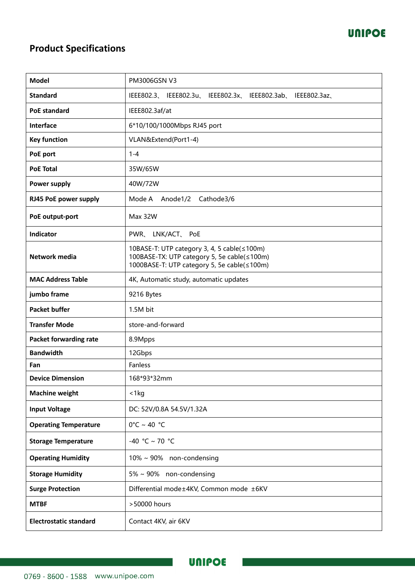# **Product Specifications**

| <b>Model</b>                  | <b>PM3006GSN V3</b>                                                                                                                       |
|-------------------------------|-------------------------------------------------------------------------------------------------------------------------------------------|
| <b>Standard</b>               | IEEE802.3、IEEE802.3u、IEEE802.3x、IEEE802.3ab、IEEE802.3az、                                                                                  |
| <b>PoE standard</b>           | IEEE802.3af/at                                                                                                                            |
| Interface                     | 6*10/100/1000Mbps RJ45 port                                                                                                               |
| <b>Key function</b>           | VLAN&Extend(Port1-4)                                                                                                                      |
| PoE port                      | $1 - 4$                                                                                                                                   |
| <b>PoE Total</b>              | 35W/65W                                                                                                                                   |
| Power supply                  | 40W/72W                                                                                                                                   |
| RJ45 PoE power supply         | Mode A<br>Anode1/2<br>Cathode3/6                                                                                                          |
| PoE output-port               | Max 32W                                                                                                                                   |
| Indicator                     | PWR、LNK/ACT、PoE                                                                                                                           |
| Network media                 | 10BASE-T: UTP category 3, 4, 5 cable(≤100m)<br>100BASE-TX: UTP category 5, 5e cable(≤100m)<br>1000BASE-T: UTP category 5, 5e cable(≤100m) |
| <b>MAC Address Table</b>      | 4K, Automatic study, automatic updates                                                                                                    |
| jumbo frame                   | 9216 Bytes                                                                                                                                |
| <b>Packet buffer</b>          | 1.5M bit                                                                                                                                  |
| <b>Transfer Mode</b>          | store-and-forward                                                                                                                         |
| <b>Packet forwarding rate</b> | 8.9Mpps                                                                                                                                   |
| <b>Bandwidth</b>              | 12Gbps                                                                                                                                    |
| Fan                           | Fanless                                                                                                                                   |
| <b>Device Dimension</b>       | 168*93*32mm                                                                                                                               |
| <b>Machine weight</b>         | $<$ 1 kg                                                                                                                                  |
| <b>Input Voltage</b>          | DC: 52V/0.8A 54.5V/1.32A                                                                                                                  |
| <b>Operating Temperature</b>  | $0^{\circ}$ C ~ 40 $^{\circ}$ C                                                                                                           |
| <b>Storage Temperature</b>    | -40 °C ~ 70 °C                                                                                                                            |
| <b>Operating Humidity</b>     | $10\% \sim 90\%$ non-condensing                                                                                                           |
| <b>Storage Humidity</b>       | 5% ~ 90% non-condensing                                                                                                                   |
| <b>Surge Protection</b>       | Differential mode±4KV, Common mode ±6KV                                                                                                   |
| <b>MTBF</b>                   | >50000 hours                                                                                                                              |
| <b>Electrostatic standard</b> | Contact 4KV, air 6KV                                                                                                                      |